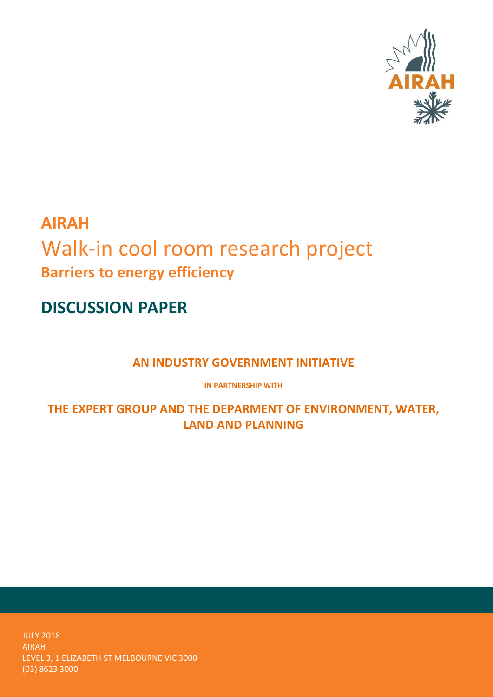

# **AIRAH** Walk-in cool room research project **Barriers to energy efficiency**

**DISCUSSION PAPER**

**AN INDUSTRY GOVERNMENT INITIATIVE**

**IN PARTNERSHIP WITH**

**THE EXPERT GROUP AND THE DEPARMENT OF ENVIRONMENT, WATER, LAND AND PLANNING**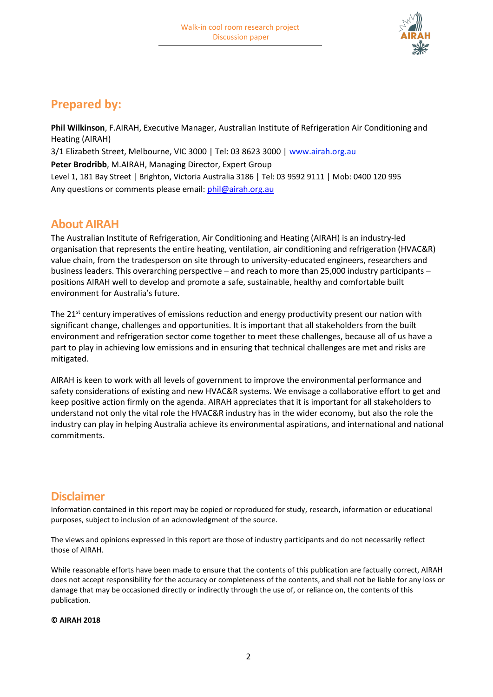

## **Prepared by:**

**Phil Wilkinson**, F.AIRAH, Executive Manager, Australian Institute of Refrigeration Air Conditioning and Heating (AIRAH)

3/1 Elizabeth Street, Melbourne, VIC 3000 | Tel: 03 8623 3000 | www.airah.org.au

**Peter Brodribb**, M.AIRAH, Managing Director, Expert Group

Level 1, 181 Bay Street | Brighton, Victoria Australia 3186 | Tel: 03 9592 9111 | Mob: 0400 120 995 Any questions or comments please email: [phil@airah.org.au](mailto:phil@airah.org.au)

### **About AIRAH**

The Australian Institute of Refrigeration, Air Conditioning and Heating (AIRAH) is an industry-led organisation that represents the entire heating, ventilation, air conditioning and refrigeration (HVAC&R) value chain, from the tradesperson on site through to university-educated engineers, researchers and business leaders. This overarching perspective – and reach to more than 25,000 industry participants – positions AIRAH well to develop and promote a safe, sustainable, healthy and comfortable built environment for Australia's future.

The 21<sup>st</sup> century imperatives of emissions reduction and energy productivity present our nation with significant change, challenges and opportunities. It is important that all stakeholders from the built environment and refrigeration sector come together to meet these challenges, because all of us have a part to play in achieving low emissions and in ensuring that technical challenges are met and risks are mitigated.

AIRAH is keen to work with all levels of government to improve the environmental performance and safety considerations of existing and new HVAC&R systems. We envisage a collaborative effort to get and keep positive action firmly on the agenda. AIRAH appreciates that it is important for all stakeholders to understand not only the vital role the HVAC&R industry has in the wider economy, but also the role the industry can play in helping Australia achieve its environmental aspirations, and international and national commitments.

### **Disclaimer**

Information contained in this report may be copied or reproduced for study, research, information or educational purposes, subject to inclusion of an acknowledgment of the source.

The views and opinions expressed in this report are those of industry participants and do not necessarily reflect those of AIRAH.

While reasonable efforts have been made to ensure that the contents of this publication are factually correct, AIRAH does not accept responsibility for the accuracy or completeness of the contents, and shall not be liable for any loss or damage that may be occasioned directly or indirectly through the use of, or reliance on, the contents of this publication.

### **© AIRAH 2018**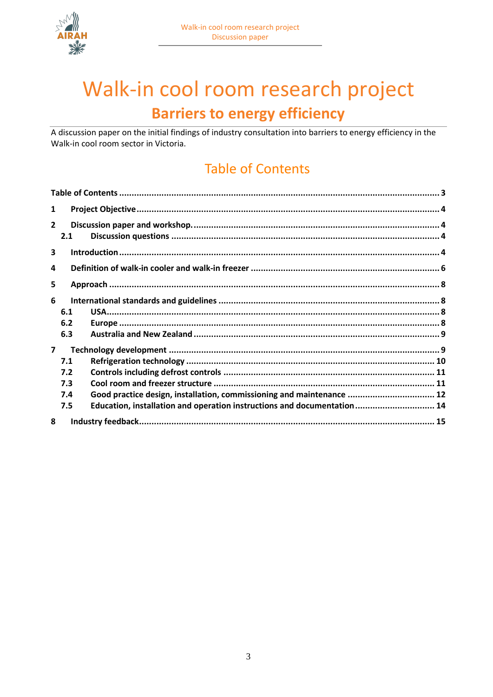



# Walk-in cool room research project **Barriers to energy efficiency**

A discussion paper on the initial findings of industry consultation into barriers to energy efficiency in the Walk-in cool room sector in Victoria.

## <span id="page-2-0"></span>**Table of Contents**

| 1              |     |                                                                         |  |  |  |
|----------------|-----|-------------------------------------------------------------------------|--|--|--|
| $\overline{2}$ | 2.1 |                                                                         |  |  |  |
| 3              |     |                                                                         |  |  |  |
| 4              |     |                                                                         |  |  |  |
| 5              |     |                                                                         |  |  |  |
| 6              |     |                                                                         |  |  |  |
|                | 6.1 |                                                                         |  |  |  |
|                | 6.2 |                                                                         |  |  |  |
|                | 6.3 |                                                                         |  |  |  |
| $\overline{7}$ |     |                                                                         |  |  |  |
|                | 7.1 |                                                                         |  |  |  |
|                | 7.2 |                                                                         |  |  |  |
|                | 7.3 |                                                                         |  |  |  |
|                | 7.4 | Good practice design, installation, commissioning and maintenance  12   |  |  |  |
|                | 7.5 | Education, installation and operation instructions and documentation 14 |  |  |  |
| 8              |     |                                                                         |  |  |  |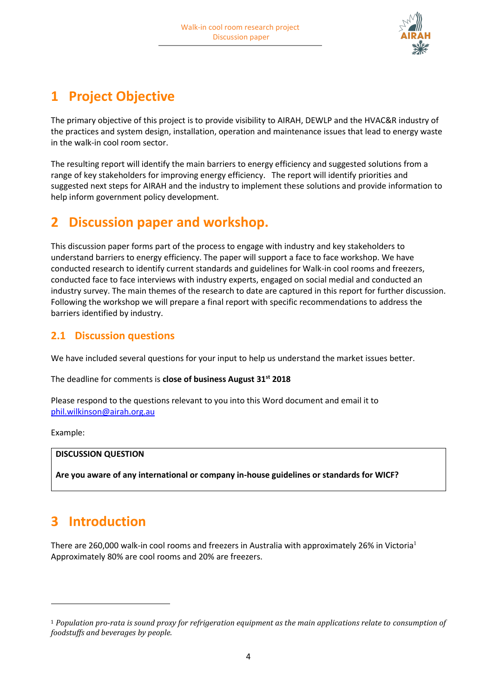

## <span id="page-3-0"></span>**1 Project Objective**

The primary objective of this project is to provide visibility to AIRAH, DEWLP and the HVAC&R industry of the practices and system design, installation, operation and maintenance issues that lead to energy waste in the walk-in cool room sector.

The resulting report will identify the main barriers to energy efficiency and suggested solutions from a range of key stakeholders for improving energy efficiency. The report will identify priorities and suggested next steps for AIRAH and the industry to implement these solutions and provide information to help inform government policy development.

## <span id="page-3-1"></span>**2 Discussion paper and workshop.**

This discussion paper forms part of the process to engage with industry and key stakeholders to understand barriers to energy efficiency. The paper will support a face to face workshop. We have conducted research to identify current standards and guidelines for Walk-in cool rooms and freezers, conducted face to face interviews with industry experts, engaged on social medial and conducted an industry survey. The main themes of the research to date are captured in this report for further discussion. Following the workshop we will prepare a final report with specific recommendations to address the barriers identified by industry.

### <span id="page-3-2"></span>**2.1 Discussion questions**

We have included several questions for your input to help us understand the market issues better.

The deadline for comments is **close of business August 31st 2018**

Please respond to the questions relevant to you into this Word document and email it to [phil.wilkinson@airah.org.au](mailto:phil.wilkinson@airah.org.au)

Example:

 $\overline{a}$ 

### **DISCUSSION QUESTION**

**Are you aware of any international or company in-house guidelines or standards for WICF?**

## <span id="page-3-3"></span>**3 Introduction**

There are 260,000 walk-in cool rooms and freezers in Australia with approximately 26% in Victoria<sup>1</sup> Approximately 80% are cool rooms and 20% are freezers.

<sup>1</sup> *Population pro-rata is sound proxy for refrigeration equipment as the main applications relate to consumption of foodstuffs and beverages by people.*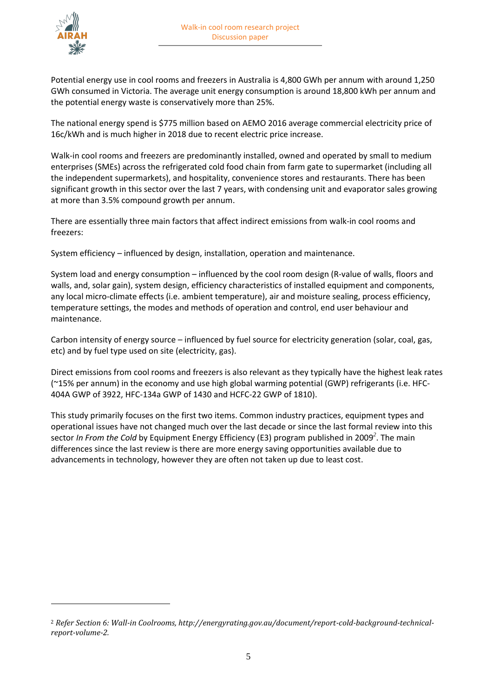

 $\overline{a}$ 

Potential energy use in cool rooms and freezers in Australia is 4,800 GWh per annum with around 1,250 GWh consumed in Victoria. The average unit energy consumption is around 18,800 kWh per annum and the potential energy waste is conservatively more than 25%.

The national energy spend is \$775 million based on AEMO 2016 average commercial electricity price of 16c/kWh and is much higher in 2018 due to recent electric price increase.

Walk-in cool rooms and freezers are predominantly installed, owned and operated by small to medium enterprises (SMEs) across the refrigerated cold food chain from farm gate to supermarket (including all the independent supermarkets), and hospitality, convenience stores and restaurants. There has been significant growth in this sector over the last 7 years, with condensing unit and evaporator sales growing at more than 3.5% compound growth per annum.

There are essentially three main factors that affect indirect emissions from walk-in cool rooms and freezers:

System efficiency – influenced by design, installation, operation and maintenance.

System load and energy consumption – influenced by the cool room design (R-value of walls, floors and walls, and, solar gain), system design, efficiency characteristics of installed equipment and components, any local micro-climate effects (i.e. ambient temperature), air and moisture sealing, process efficiency, temperature settings, the modes and methods of operation and control, end user behaviour and maintenance.

Carbon intensity of energy source – influenced by fuel source for electricity generation (solar, coal, gas, etc) and by fuel type used on site (electricity, gas).

Direct emissions from cool rooms and freezers is also relevant as they typically have the highest leak rates (~15% per annum) in the economy and use high global warming potential (GWP) refrigerants (i.e. HFC-404A GWP of 3922, HFC-134a GWP of 1430 and HCFC-22 GWP of 1810).

This study primarily focuses on the first two items. Common industry practices, equipment types and operational issues have not changed much over the last decade or since the last formal review into this sector *In From the Cold* by Equipment Energy Efficiency (E3) program published in 2009*<sup>2</sup>* . The main differences since the last review is there are more energy saving opportunities available due to advancements in technology, however they are often not taken up due to least cost.

<sup>2</sup> *Refer Section 6: Wall-in Coolrooms, http://energyrating.gov.au/document/report-cold-background-technicalreport-volume-2.*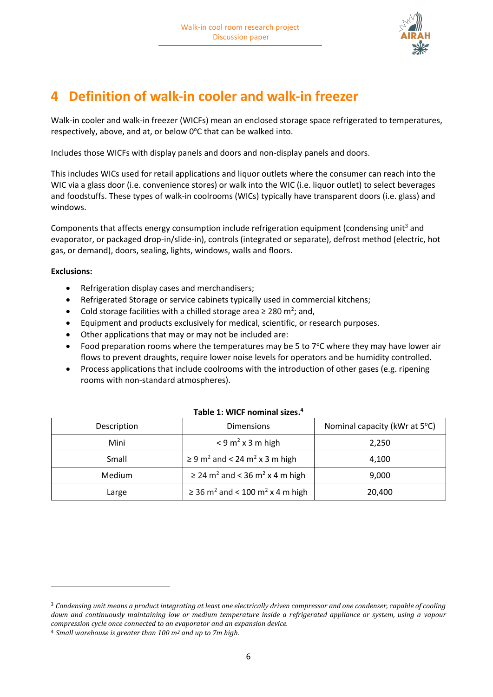

## <span id="page-5-0"></span>**4 Definition of walk-in cooler and walk-in freezer**

Walk-in cooler and walk-in freezer (WICFs) mean an enclosed storage space refrigerated to temperatures, respectively, above, and at, or below 0°C that can be walked into.

Includes those WICFs with display panels and doors and non-display panels and doors.

This includes WICs used for retail applications and liquor outlets where the consumer can reach into the WIC via a glass door (i.e. convenience stores) or walk into the WIC (i.e. liquor outlet) to select beverages and foodstuffs. These types of walk-in coolrooms (WICs) typically have transparent doors (i.e. glass) and windows.

Components that affects energy consumption include refrigeration equipment (condensing unit<sup>3</sup> and evaporator, or packaged drop-in/slide-in), controls (integrated or separate), defrost method (electric, hot gas, or demand), doors, sealing, lights, windows, walls and floors.

### **Exclusions:**

 $\overline{\phantom{a}}$ 

- Refrigeration display cases and merchandisers;
- Refrigerated Storage or service cabinets typically used in commercial kitchens;
- Cold storage facilities with a chilled storage area  $\geq 280$  m<sup>2</sup>; and,
- Equipment and products exclusively for medical, scientific, or research purposes.
- Other applications that may or may not be included are:
- Food preparation rooms where the temperatures may be 5 to  $7^{\circ}$ C where they may have lower air flows to prevent draughts, require lower noise levels for operators and be humidity controlled.
- Process applications that include coolrooms with the introduction of other gases (e.g. ripening rooms with non-standard atmospheres).

| Description | <b>Dimensions</b>                                            | Nominal capacity (kWr at 5°C) |
|-------------|--------------------------------------------------------------|-------------------------------|
| Mini        | $<$ 9 m <sup>2</sup> x 3 m high                              | 2,250                         |
| Small       | $\geq$ 9 m <sup>2</sup> and < 24 m <sup>2</sup> x 3 m high   | 4,100                         |
| Medium      | $\geq$ 24 m <sup>2</sup> and < 36 m <sup>2</sup> x 4 m high  | 9,000                         |
| Large       | $\geq$ 36 m <sup>2</sup> and < 100 m <sup>2</sup> x 4 m high | 20,400                        |

### **Table 1: WICF nominal sizes. 4**

<sup>3</sup> *Condensing unit means a product integrating at least one electrically driven compressor and one condenser, capable of cooling down and continuously maintaining low or medium temperature inside a refrigerated appliance or system, using a vapour compression cycle once connected to an evaporator and an expansion device.*

<sup>4</sup> *Small warehouse is greater than 100 m<sup>2</sup> and up to 7m high.*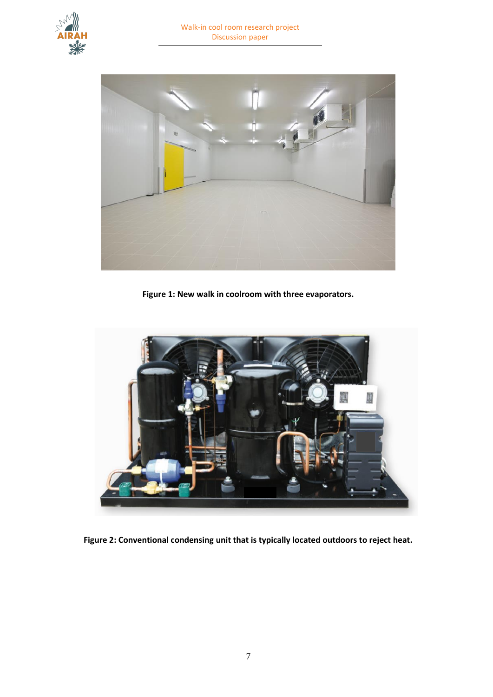



**Figure 1: New walk in coolroom with three evaporators.**



**Figure 2: Conventional condensing unit that is typically located outdoors to reject heat.**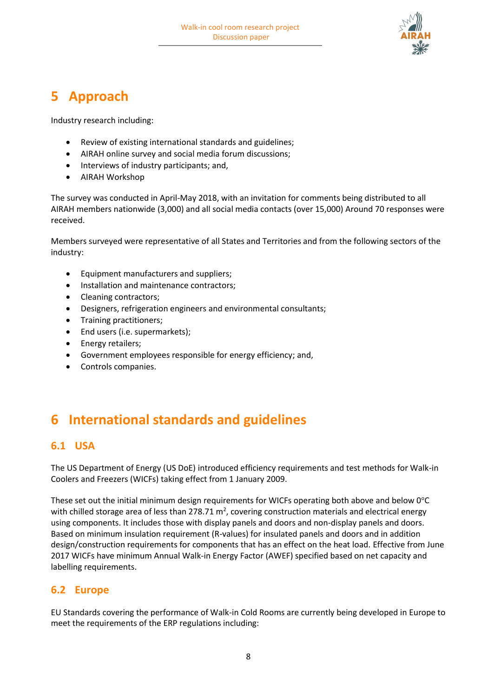

## <span id="page-7-0"></span>**5 Approach**

Industry research including:

- Review of existing international standards and guidelines;
- AIRAH online survey and social media forum discussions;
- Interviews of industry participants; and,
- AIRAH Workshop

The survey was conducted in April-May 2018, with an invitation for comments being distributed to all AIRAH members nationwide (3,000) and all social media contacts (over 15,000) Around 70 responses were received.

Members surveyed were representative of all States and Territories and from the following sectors of the industry:

- Equipment manufacturers and suppliers;
- Installation and maintenance contractors;
- Cleaning contractors;
- Designers, refrigeration engineers and environmental consultants;
- Training practitioners;
- End users (i.e. supermarkets);
- Energy retailers;
- Government employees responsible for energy efficiency; and,
- <span id="page-7-1"></span>• Controls companies.

## **6 International standards and guidelines**

### <span id="page-7-2"></span>**6.1 USA**

The US Department of Energy (US DoE) introduced efficiency requirements and test methods for Walk-in Coolers and Freezers (WICFs) taking effect from 1 January 2009.

These set out the initial minimum design requirements for WICFs operating both above and below 0°C with chilled storage area of less than 278.71 m<sup>2</sup>, covering construction materials and electrical energy using components. It includes those with display panels and doors and non-display panels and doors. Based on minimum insulation requirement (R-values) for insulated panels and doors and in addition design/construction requirements for components that has an effect on the heat load. Effective from June 2017 WICFs have minimum Annual Walk-in Energy Factor (AWEF) specified based on net capacity and labelling requirements.

### <span id="page-7-3"></span>**6.2 Europe**

EU Standards covering the performance of Walk-in Cold Rooms are currently being developed in Europe to meet the requirements of the ERP regulations including: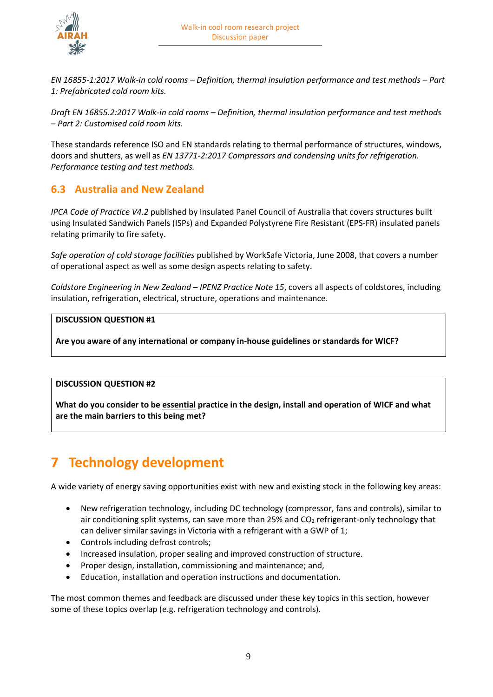

*EN 16855-1:2017 Walk-in cold rooms – Definition, thermal insulation performance and test methods – Part 1: Prefabricated cold room kits.*

*Draft EN 16855.2:2017 Walk-in cold rooms – Definition, thermal insulation performance and test methods – Part 2: Customised cold room kits.*

These standards reference ISO and EN standards relating to thermal performance of structures, windows, doors and shutters, as well as *EN 13771-2:2017 Compressors and condensing units for refrigeration. Performance testing and test methods.*

### <span id="page-8-0"></span>**6.3 Australia and New Zealand**

*IPCA Code of Practice V4.2* published by Insulated Panel Council of Australia that covers structures built using Insulated Sandwich Panels (ISPs) and Expanded Polystyrene Fire Resistant (EPS-FR) insulated panels relating primarily to fire safety.

*Safe operation of cold storage facilities* published by WorkSafe Victoria, June 2008, that covers a number of operational aspect as well as some design aspects relating to safety.

*Coldstore Engineering in New Zealand – IPENZ Practice Note 15*, covers all aspects of coldstores, including insulation, refrigeration, electrical, structure, operations and maintenance.

### **DISCUSSION QUESTION #1**

**Are you aware of any international or company in-house guidelines or standards for WICF?**

#### **DISCUSSION QUESTION #2**

**What do you consider to be essential practice in the design, install and operation of WICF and what are the main barriers to this being met?**

## <span id="page-8-1"></span>**7 Technology development**

A wide variety of energy saving opportunities exist with new and existing stock in the following key areas:

- New refrigeration technology, including DC technology (compressor, fans and controls), similar to air conditioning split systems, can save more than 25% and  $CO<sub>2</sub>$  refrigerant-only technology that can deliver similar savings in Victoria with a refrigerant with a GWP of 1;
- Controls including defrost controls;
- Increased insulation, proper sealing and improved construction of structure.
- Proper design, installation, commissioning and maintenance; and,
- Education, installation and operation instructions and documentation.

The most common themes and feedback are discussed under these key topics in this section, however some of these topics overlap (e.g. refrigeration technology and controls).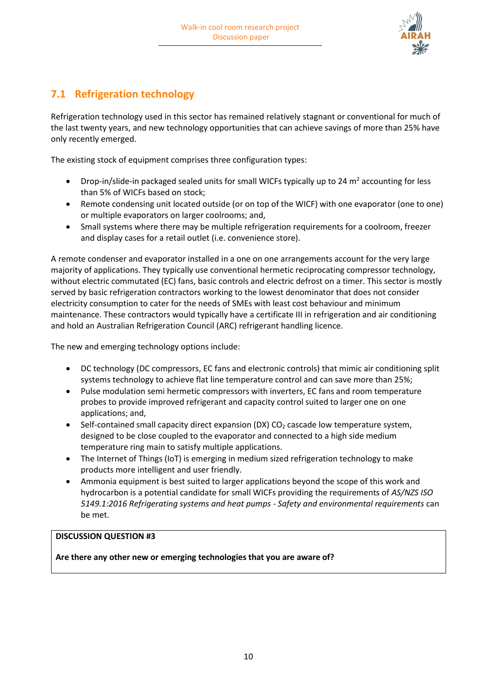

## <span id="page-9-0"></span>**7.1 Refrigeration technology**

Refrigeration technology used in this sector has remained relatively stagnant or conventional for much of the last twenty years, and new technology opportunities that can achieve savings of more than 25% have only recently emerged.

The existing stock of equipment comprises three configuration types:

- Drop-in/slide-in packaged sealed units for small WICFs typically up to 24  $m<sup>2</sup>$  accounting for less than 5% of WICFs based on stock;
- Remote condensing unit located outside (or on top of the WICF) with one evaporator (one to one) or multiple evaporators on larger coolrooms; and,
- Small systems where there may be multiple refrigeration requirements for a coolroom, freezer and display cases for a retail outlet (i.e. convenience store).

A remote condenser and evaporator installed in a one on one arrangements account for the very large majority of applications. They typically use conventional hermetic reciprocating compressor technology, without electric commutated (EC) fans, basic controls and electric defrost on a timer. This sector is mostly served by basic refrigeration contractors working to the lowest denominator that does not consider electricity consumption to cater for the needs of SMEs with least cost behaviour and minimum maintenance. These contractors would typically have a certificate III in refrigeration and air conditioning and hold an Australian Refrigeration Council (ARC) refrigerant handling licence.

The new and emerging technology options include:

- DC technology (DC compressors, EC fans and electronic controls) that mimic air conditioning split systems technology to achieve flat line temperature control and can save more than 25%;
- Pulse modulation semi hermetic compressors with inverters, EC fans and room temperature probes to provide improved refrigerant and capacity control suited to larger one on one applications; and,
- Self-contained small capacity direct expansion (DX) CO<sub>2</sub> cascade low temperature system, designed to be close coupled to the evaporator and connected to a high side medium temperature ring main to satisfy multiple applications.
- The Internet of Things (IoT) is emerging in medium sized refrigeration technology to make products more intelligent and user friendly.
- Ammonia equipment is best suited to larger applications beyond the scope of this work and hydrocarbon is a potential candidate for small WICFs providing the requirements of *AS/NZS ISO 5149.1:2016 Refrigerating systems and heat pumps - Safety and environmental requirements* can be met.

### **DISCUSSION QUESTION #3**

**Are there any other new or emerging technologies that you are aware of?**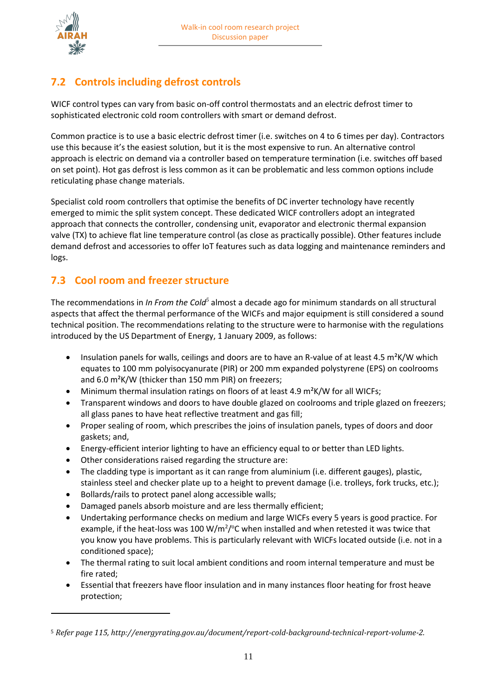

 $\overline{a}$ 

## <span id="page-10-0"></span>**7.2 Controls including defrost controls**

WICF control types can vary from basic on-off control thermostats and an electric defrost timer to sophisticated electronic cold room controllers with smart or demand defrost.

Common practice is to use a basic electric defrost timer (i.e. switches on 4 to 6 times per day). Contractors use this because it's the easiest solution, but it is the most expensive to run. An alternative control approach is electric on demand via a controller based on temperature termination (i.e. switches off based on set point). Hot gas defrost is less common as it can be problematic and less common options include reticulating phase change materials.

Specialist cold room controllers that optimise the benefits of DC inverter technology have recently emerged to mimic the split system concept. These dedicated WICF controllers adopt an integrated approach that connects the controller, condensing unit, evaporator and electronic thermal expansion valve (TX) to achieve flat line temperature control (as close as practically possible). Other features include demand defrost and accessories to offer IoT features such as data logging and maintenance reminders and logs.

### <span id="page-10-1"></span>**7.3 Cool room and freezer structure**

The recommendations in *In From the Cold<sup>5</sup>* almost a decade ago for minimum standards on all structural aspects that affect the thermal performance of the WICFs and major equipment is still considered a sound technical position. The recommendations relating to the structure were to harmonise with the regulations introduced by the US Department of Energy, 1 January 2009, as follows:

- Insulation panels for walls, ceilings and doors are to have an R-value of at least 4.5 m<sup>2</sup>K/W which equates to 100 mm polyisocyanurate (PIR) or 200 mm expanded polystyrene (EPS) on coolrooms and 6.0 m²K/W (thicker than 150 mm PIR) on freezers;
- Minimum thermal insulation ratings on floors of at least 4.9 m<sup>2</sup>K/W for all WICFs;
- Transparent windows and doors to have double glazed on coolrooms and triple glazed on freezers; all glass panes to have heat reflective treatment and gas fill;
- Proper sealing of room, which prescribes the joins of insulation panels, types of doors and door gaskets; and,
- Energy-efficient interior lighting to have an efficiency equal to or better than LED lights.
- Other considerations raised regarding the structure are:
- The cladding type is important as it can range from aluminium (i.e. different gauges), plastic, stainless steel and checker plate up to a height to prevent damage (i.e. trolleys, fork trucks, etc.);
- Bollards/rails to protect panel along accessible walls;
- Damaged panels absorb moisture and are less thermally efficient;
- Undertaking performance checks on medium and large WICFs every 5 years is good practice. For example, if the heat-loss was 100 W/m<sup>2</sup>/ $\degree$ C when installed and when retested it was twice that you know you have problems. This is particularly relevant with WICFs located outside (i.e. not in a conditioned space);
- The thermal rating to suit local ambient conditions and room internal temperature and must be fire rated;
- Essential that freezers have floor insulation and in many instances floor heating for frost heave protection;

<sup>5</sup> *Refer page 115, http://energyrating.gov.au/document/report-cold-background-technical-report-volume-2.*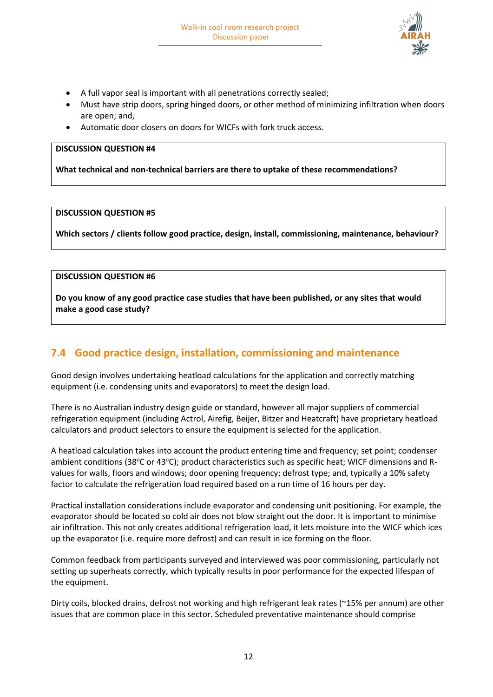

- A full vapor seal is important with all penetrations correctly sealed;
- Must have strip doors, spring hinged doors, or other method of minimizing infiltration when doors are open; and,
- Automatic door closers on doors for WICFs with fork truck access.

#### **DISCUSSION QUESTION #4**

**What technical and non-technical barriers are there to uptake of these recommendations?**

#### **DISCUSSION QUESTION #5**

**Which sectors / clients follow good practice, design, install, commissioning, maintenance, behaviour?**

### **DISCUSSION QUESTION #6**

**Do you know of any good practice case studies that have been published, or any sites that would make a good case study?**

### <span id="page-11-0"></span>**7.4 Good practice design, installation, commissioning and maintenance**

Good design involves undertaking heatload calculations for the application and correctly matching equipment (i.e. condensing units and evaporators) to meet the design load.

There is no Australian industry design guide or standard, however all major suppliers of commercial refrigeration equipment (including Actrol, Airefig, Beijer, Bitzer and Heatcraft) have proprietary heatload calculators and product selectors to ensure the equipment is selected for the application.

A heatload calculation takes into account the product entering time and frequency; set point; condenser ambient conditions (38 $\degree$ C or 43 $\degree$ C); product characteristics such as specific heat; WICF dimensions and Rvalues for walls, floors and windows; door opening frequency; defrost type; and, typically a 10% safety factor to calculate the refrigeration load required based on a run time of 16 hours per day.

Practical installation considerations include evaporator and condensing unit positioning. For example, the evaporator should be located so cold air does not blow straight out the door. It is important to minimise air infiltration. This not only creates additional refrigeration load, it lets moisture into the WICF which ices up the evaporator (i.e. require more defrost) and can result in ice forming on the floor.

Common feedback from participants surveyed and interviewed was poor commissioning, particularly not setting up superheats correctly, which typically results in poor performance for the expected lifespan of the equipment.

Dirty coils, blocked drains, defrost not working and high refrigerant leak rates (~15% per annum) are other issues that are common place in this sector. Scheduled preventative maintenance should comprise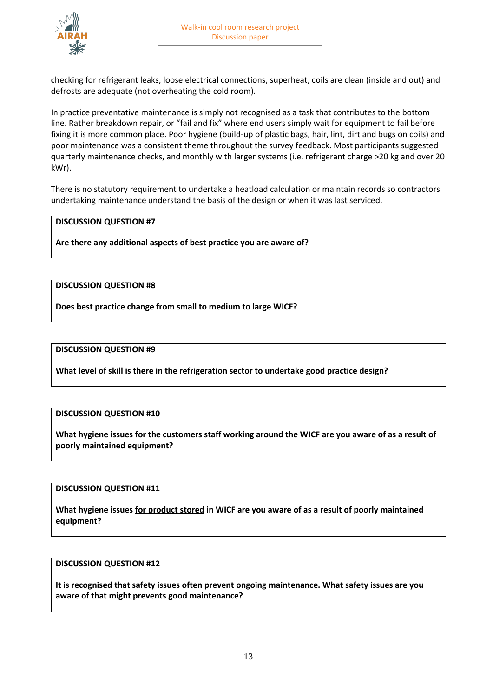

checking for refrigerant leaks, loose electrical connections, superheat, coils are clean (inside and out) and defrosts are adequate (not overheating the cold room).

In practice preventative maintenance is simply not recognised as a task that contributes to the bottom line. Rather breakdown repair, or "fail and fix" where end users simply wait for equipment to fail before fixing it is more common place. Poor hygiene (build-up of plastic bags, hair, lint, dirt and bugs on coils) and poor maintenance was a consistent theme throughout the survey feedback. Most participants suggested quarterly maintenance checks, and monthly with larger systems (i.e. refrigerant charge >20 kg and over 20 kWr).

There is no statutory requirement to undertake a heatload calculation or maintain records so contractors undertaking maintenance understand the basis of the design or when it was last serviced.

### **DISCUSSION QUESTION #7**

**Are there any additional aspects of best practice you are aware of?**

### **DISCUSSION QUESTION #8**

**Does best practice change from small to medium to large WICF?**

#### **DISCUSSION QUESTION #9**

**What level of skill is there in the refrigeration sector to undertake good practice design?**

#### **DISCUSSION QUESTION #10**

**What hygiene issues for the customers staff working around the WICF are you aware of as a result of poorly maintained equipment?**

#### **DISCUSSION QUESTION #11**

**What hygiene issues for product stored in WICF are you aware of as a result of poorly maintained equipment?**

#### **DISCUSSION QUESTION #12**

**It is recognised that safety issues often prevent ongoing maintenance. What safety issues are you aware of that might prevents good maintenance?**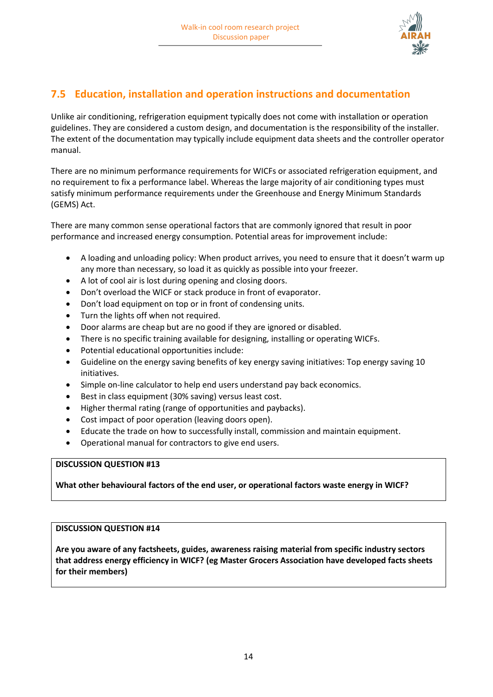

### <span id="page-13-0"></span>**7.5 Education, installation and operation instructions and documentation**

Unlike air conditioning, refrigeration equipment typically does not come with installation or operation guidelines. They are considered a custom design, and documentation is the responsibility of the installer. The extent of the documentation may typically include equipment data sheets and the controller operator manual.

There are no minimum performance requirements for WICFs or associated refrigeration equipment, and no requirement to fix a performance label. Whereas the large majority of air conditioning types must satisfy minimum performance requirements under the Greenhouse and Energy Minimum Standards (GEMS) Act.

There are many common sense operational factors that are commonly ignored that result in poor performance and increased energy consumption. Potential areas for improvement include:

- A loading and unloading policy: When product arrives, you need to ensure that it doesn't warm up any more than necessary, so load it as quickly as possible into your freezer.
- A lot of cool air is lost during opening and closing doors.
- Don't overload the WICF or stack produce in front of evaporator.
- Don't load equipment on top or in front of condensing units.
- Turn the lights off when not required.
- Door alarms are cheap but are no good if they are ignored or disabled.
- There is no specific training available for designing, installing or operating WICFs.
- Potential educational opportunities include:
- Guideline on the energy saving benefits of key energy saving initiatives: Top energy saving 10 initiatives.
- Simple on-line calculator to help end users understand pay back economics.
- Best in class equipment (30% saving) versus least cost.
- Higher thermal rating (range of opportunities and paybacks).
- Cost impact of poor operation (leaving doors open).
- Educate the trade on how to successfully install, commission and maintain equipment.
- Operational manual for contractors to give end users.

### **DISCUSSION QUESTION #13**

**What other behavioural factors of the end user, or operational factors waste energy in WICF?**

#### **DISCUSSION QUESTION #14**

<span id="page-13-1"></span>**Are you aware of any factsheets, guides, awareness raising material from specific industry sectors that address energy efficiency in WICF? (eg Master Grocers Association have developed facts sheets for their members)**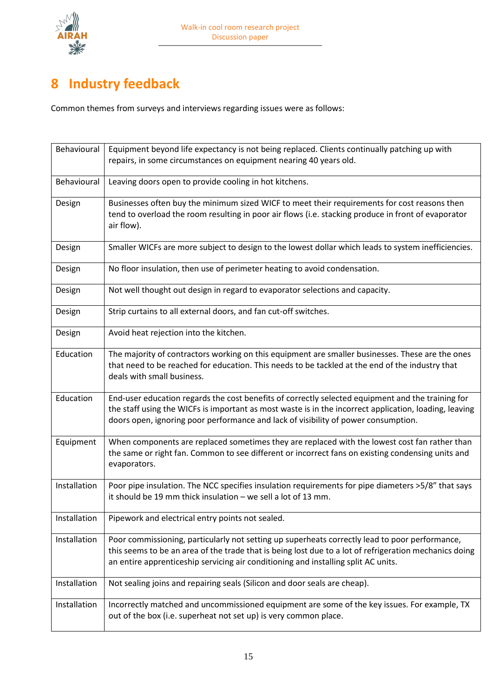

## **8 Industry feedback**

Common themes from surveys and interviews regarding issues were as follows:

| Behavioural  | Equipment beyond life expectancy is not being replaced. Clients continually patching up with<br>repairs, in some circumstances on equipment nearing 40 years old.                                                                                                                                 |
|--------------|---------------------------------------------------------------------------------------------------------------------------------------------------------------------------------------------------------------------------------------------------------------------------------------------------|
| Behavioural  | Leaving doors open to provide cooling in hot kitchens.                                                                                                                                                                                                                                            |
| Design       | Businesses often buy the minimum sized WICF to meet their requirements for cost reasons then<br>tend to overload the room resulting in poor air flows (i.e. stacking produce in front of evaporator<br>air flow).                                                                                 |
| Design       | Smaller WICFs are more subject to design to the lowest dollar which leads to system inefficiencies.                                                                                                                                                                                               |
| Design       | No floor insulation, then use of perimeter heating to avoid condensation.                                                                                                                                                                                                                         |
| Design       | Not well thought out design in regard to evaporator selections and capacity.                                                                                                                                                                                                                      |
| Design       | Strip curtains to all external doors, and fan cut-off switches.                                                                                                                                                                                                                                   |
| Design       | Avoid heat rejection into the kitchen.                                                                                                                                                                                                                                                            |
| Education    | The majority of contractors working on this equipment are smaller businesses. These are the ones<br>that need to be reached for education. This needs to be tackled at the end of the industry that<br>deals with small business.                                                                 |
| Education    | End-user education regards the cost benefits of correctly selected equipment and the training for<br>the staff using the WICFs is important as most waste is in the incorrect application, loading, leaving<br>doors open, ignoring poor performance and lack of visibility of power consumption. |
| Equipment    | When components are replaced sometimes they are replaced with the lowest cost fan rather than<br>the same or right fan. Common to see different or incorrect fans on existing condensing units and<br>evaporators.                                                                                |
| Installation | Poor pipe insulation. The NCC specifies insulation requirements for pipe diameters >5/8" that says<br>it should be 19 mm thick insulation - we sell a lot of 13 mm.                                                                                                                               |
| Installation | Pipework and electrical entry points not sealed.                                                                                                                                                                                                                                                  |
| Installation | Poor commissioning, particularly not setting up superheats correctly lead to poor performance,<br>this seems to be an area of the trade that is being lost due to a lot of refrigeration mechanics doing<br>an entire apprenticeship servicing air conditioning and installing split AC units.    |
| Installation | Not sealing joins and repairing seals (Silicon and door seals are cheap).                                                                                                                                                                                                                         |
| Installation | Incorrectly matched and uncommissioned equipment are some of the key issues. For example, TX<br>out of the box (i.e. superheat not set up) is very common place.                                                                                                                                  |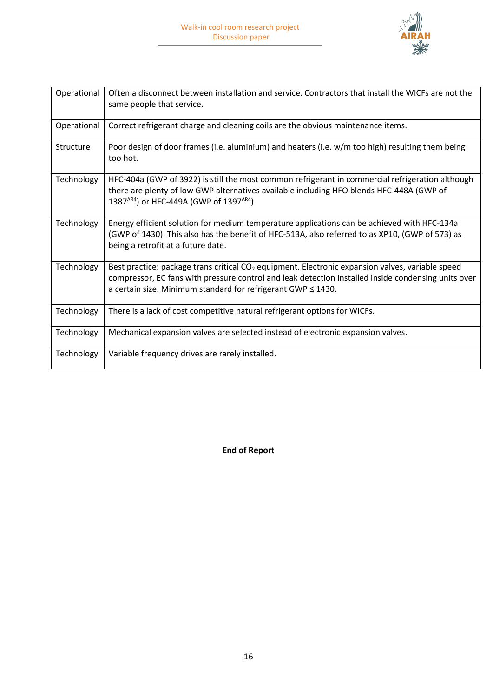

| Operational | Often a disconnect between installation and service. Contractors that install the WICFs are not the<br>same people that service.                                                                                                                                                         |
|-------------|------------------------------------------------------------------------------------------------------------------------------------------------------------------------------------------------------------------------------------------------------------------------------------------|
| Operational | Correct refrigerant charge and cleaning coils are the obvious maintenance items.                                                                                                                                                                                                         |
| Structure   | Poor design of door frames (i.e. aluminium) and heaters (i.e. w/m too high) resulting them being<br>too hot.                                                                                                                                                                             |
| Technology  | HFC-404a (GWP of 3922) is still the most common refrigerant in commercial refrigeration although<br>there are plenty of low GWP alternatives available including HFO blends HFC-448A (GWP of<br>1387AR4) or HFC-449A (GWP of 1397AR4).                                                   |
| Technology  | Energy efficient solution for medium temperature applications can be achieved with HFC-134a<br>(GWP of 1430). This also has the benefit of HFC-513A, also referred to as XP10, (GWP of 573) as<br>being a retrofit at a future date.                                                     |
| Technology  | Best practice: package trans critical CO <sub>2</sub> equipment. Electronic expansion valves, variable speed<br>compressor, EC fans with pressure control and leak detection installed inside condensing units over<br>a certain size. Minimum standard for refrigerant GWP $\leq$ 1430. |
| Technology  | There is a lack of cost competitive natural refrigerant options for WICFs.                                                                                                                                                                                                               |
| Technology  | Mechanical expansion valves are selected instead of electronic expansion valves.                                                                                                                                                                                                         |
| Technology  | Variable frequency drives are rarely installed.                                                                                                                                                                                                                                          |

**End of Report**